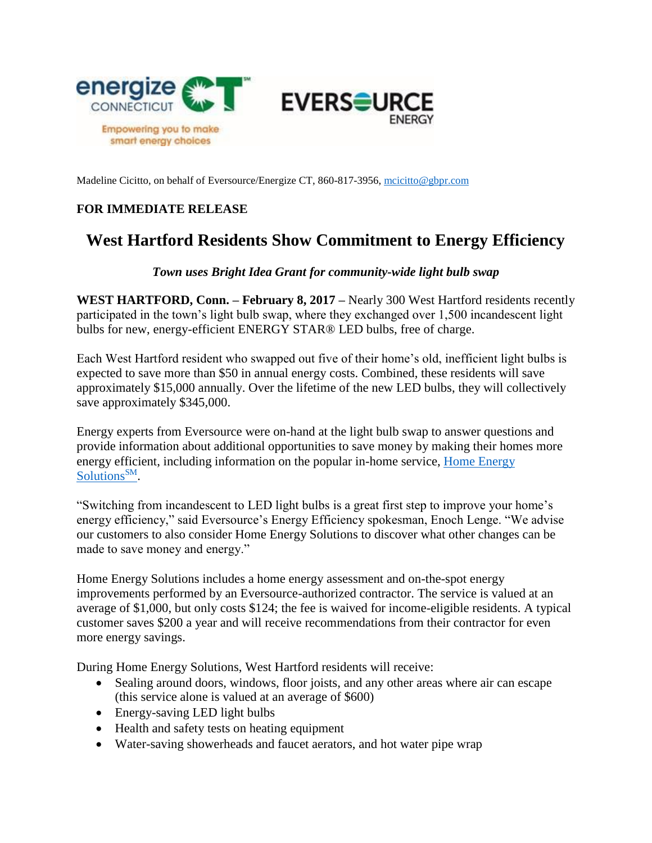

Madeline Cicitto, on behalf of Eversource/Energize CT, 860-817-3956[, mcicitto@gbpr.com](mailto:mcicitto@gbpr.com)

## **FOR IMMEDIATE RELEASE**

## **West Hartford Residents Show Commitment to Energy Efficiency**

## *Town uses Bright Idea Grant for community-wide light bulb swap*

**WEST HARTFORD, Conn. – February 8, 2017 –** Nearly 300 West Hartford residents recently participated in the town's light bulb swap, where they exchanged over 1,500 incandescent light bulbs for new, energy-efficient ENERGY STAR® LED bulbs, free of charge.

Each West Hartford resident who swapped out five of their home's old, inefficient light bulbs is expected to save more than \$50 in annual energy costs. Combined, these residents will save approximately \$15,000 annually. Over the lifetime of the new LED bulbs, they will collectively save approximately \$345,000.

Energy experts from Eversource were on-hand at the light bulb swap to answer questions and provide information about additional opportunities to save money by making their homes more energy efficient, including information on the popular in-home service, Home Energy [Solutions](http://www.energizect.com/your-home/solutions-list/home-energy-solutions-core-services)<sup>SM</sup>.

"Switching from incandescent to LED light bulbs is a great first step to improve your home's energy efficiency," said Eversource's Energy Efficiency spokesman, Enoch Lenge. "We advise our customers to also consider Home Energy Solutions to discover what other changes can be made to save money and energy."

Home Energy Solutions includes a home energy assessment and on-the-spot energy improvements performed by an Eversource-authorized contractor. The service is valued at an average of \$1,000, but only costs \$124; the fee is waived for income-eligible residents. A typical customer saves \$200 a year and will receive recommendations from their contractor for even more energy savings.

During Home Energy Solutions, West Hartford residents will receive:

- Sealing around doors, windows, floor joists, and any other areas where air can escape (this service alone is valued at an average of \$600)
- Energy-saving LED light bulbs
- Health and safety tests on heating equipment
- Water-saving showerheads and faucet aerators, and hot water pipe wrap